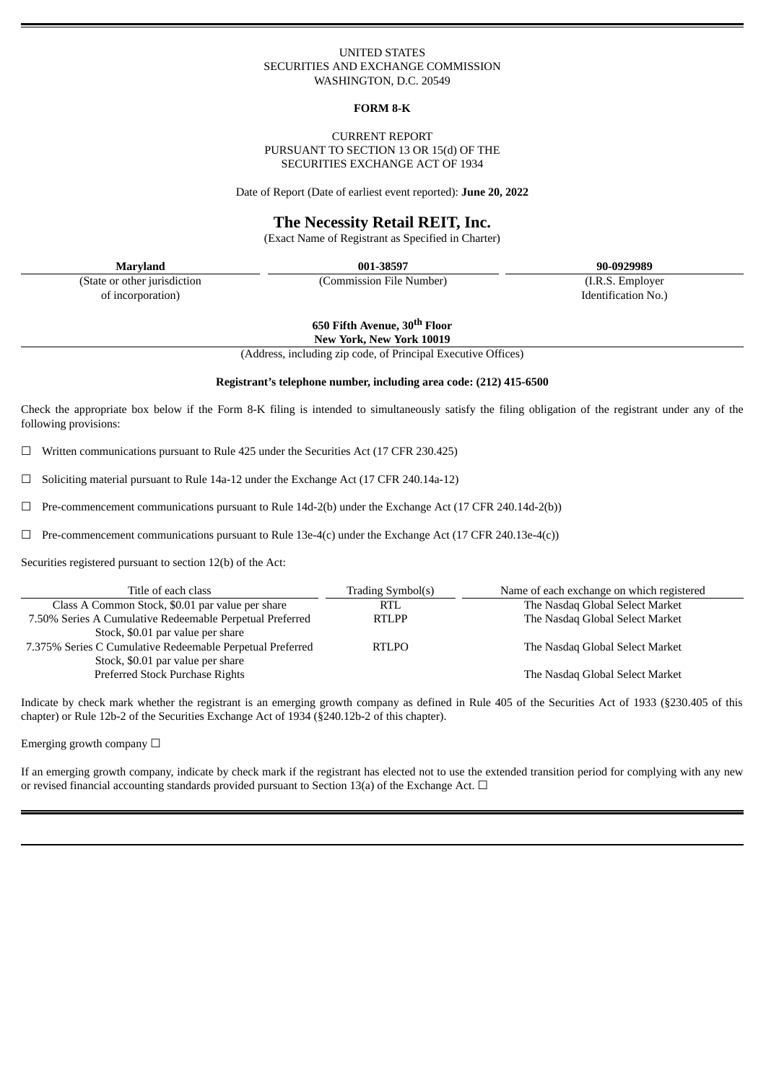# UNITED STATES SECURITIES AND EXCHANGE COMMISSION WASHINGTON, D.C. 20549

#### **FORM 8-K**

### CURRENT REPORT PURSUANT TO SECTION 13 OR 15(d) OF THE SECURITIES EXCHANGE ACT OF 1934

Date of Report (Date of earliest event reported): **June 20, 2022**

# **The Necessity Retail REIT, Inc.**

(Exact Name of Registrant as Specified in Charter)

(State or other jurisdiction of incorporation)

**Maryland 001-38597 90-0929989**

(Commission File Number) (I.R.S. Employer

Identification No.)

**650 Fifth Avenue, 30 th Floor**

**New York, New York 10019**

(Address, including zip code, of Principal Executive Offices)

# **Registrant's telephone number, including area code: (212) 415-6500**

Check the appropriate box below if the Form 8-K filing is intended to simultaneously satisfy the filing obligation of the registrant under any of the following provisions:

 $\Box$  Written communications pursuant to Rule 425 under the Securities Act (17 CFR 230.425)

 $\Box$  Soliciting material pursuant to Rule 14a-12 under the Exchange Act (17 CFR 240.14a-12)

☐ Pre-commencement communications pursuant to Rule 14d-2(b) under the Exchange Act (17 CFR 240.14d-2(b))

 $\Box$  Pre-commencement communications pursuant to Rule 13e-4(c) under the Exchange Act (17 CFR 240.13e-4(c))

Securities registered pursuant to section 12(b) of the Act:

| Title of each class                                       | Trading Symbol(s) | Name of each exchange on which registered |
|-----------------------------------------------------------|-------------------|-------------------------------------------|
| Class A Common Stock, \$0.01 par value per share          | RTL               | The Nasdaq Global Select Market           |
| 7.50% Series A Cumulative Redeemable Perpetual Preferred  | <b>RTLPP</b>      | The Nasdaq Global Select Market           |
| Stock, \$0.01 par value per share                         |                   |                                           |
| 7.375% Series C Cumulative Redeemable Perpetual Preferred | <b>RTLPO</b>      | The Nasdaq Global Select Market           |
| Stock, \$0.01 par value per share                         |                   |                                           |
| Preferred Stock Purchase Rights                           |                   | The Nasdaq Global Select Market           |

Indicate by check mark whether the registrant is an emerging growth company as defined in Rule 405 of the Securities Act of 1933 (§230.405 of this chapter) or Rule 12b-2 of the Securities Exchange Act of 1934 (§240.12b-2 of this chapter).

Emerging growth company  $\Box$ 

If an emerging growth company, indicate by check mark if the registrant has elected not to use the extended transition period for complying with any new or revised financial accounting standards provided pursuant to Section 13(a) of the Exchange Act.  $\Box$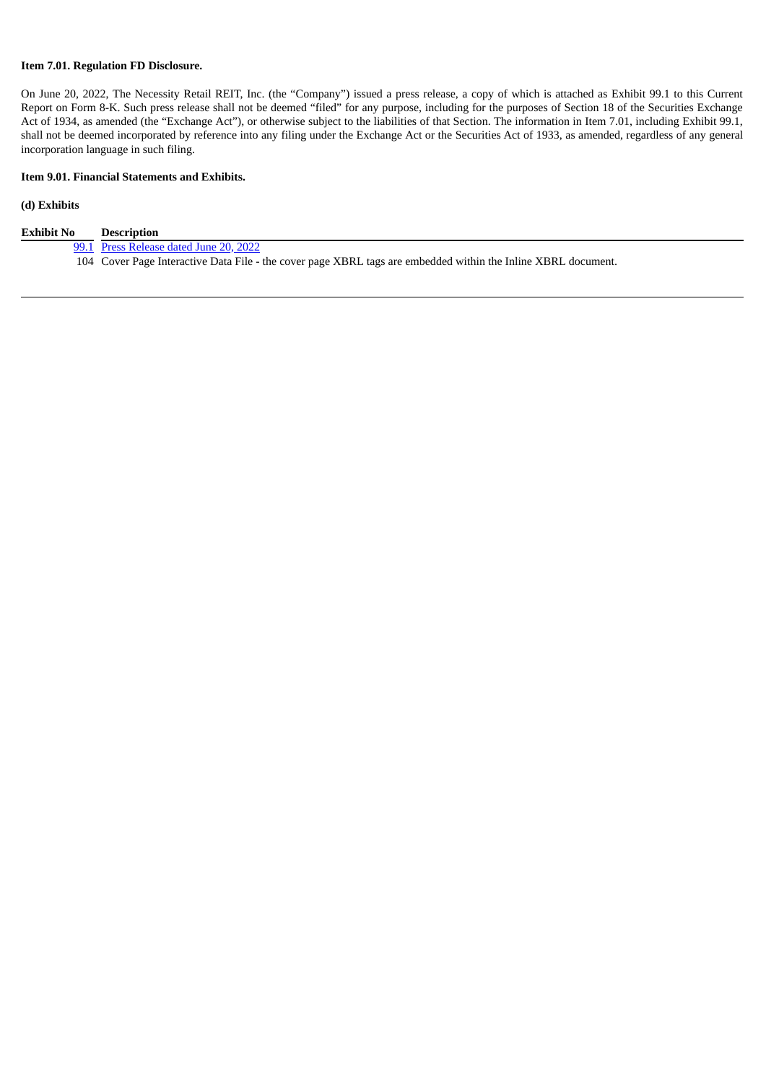# **Item 7.01. Regulation FD Disclosure.**

On June 20, 2022, The Necessity Retail REIT, Inc. (the "Company") issued a press release, a copy of which is attached as Exhibit 99.1 to this Current Report on Form 8-K. Such press release shall not be deemed "filed" for any purpose, including for the purposes of Section 18 of the Securities Exchange Act of 1934, as amended (the "Exchange Act"), or otherwise subject to the liabilities of that Section. The information in Item 7.01, including Exhibit 99.1, shall not be deemed incorporated by reference into any filing under the Exchange Act or the Securities Act of 1933, as amended, regardless of any general incorporation language in such filing.

# **Item 9.01. Financial Statements and Exhibits.**

# **(d) Exhibits**

| <b>Exhibit No</b> | Description                                                                                                   |
|-------------------|---------------------------------------------------------------------------------------------------------------|
|                   | 99.1 Press Release dated June 20, 2022                                                                        |
|                   | 104 Cover Page Interactive Data File - the cover page XBRL tags are embedded within the Inline XBRL document. |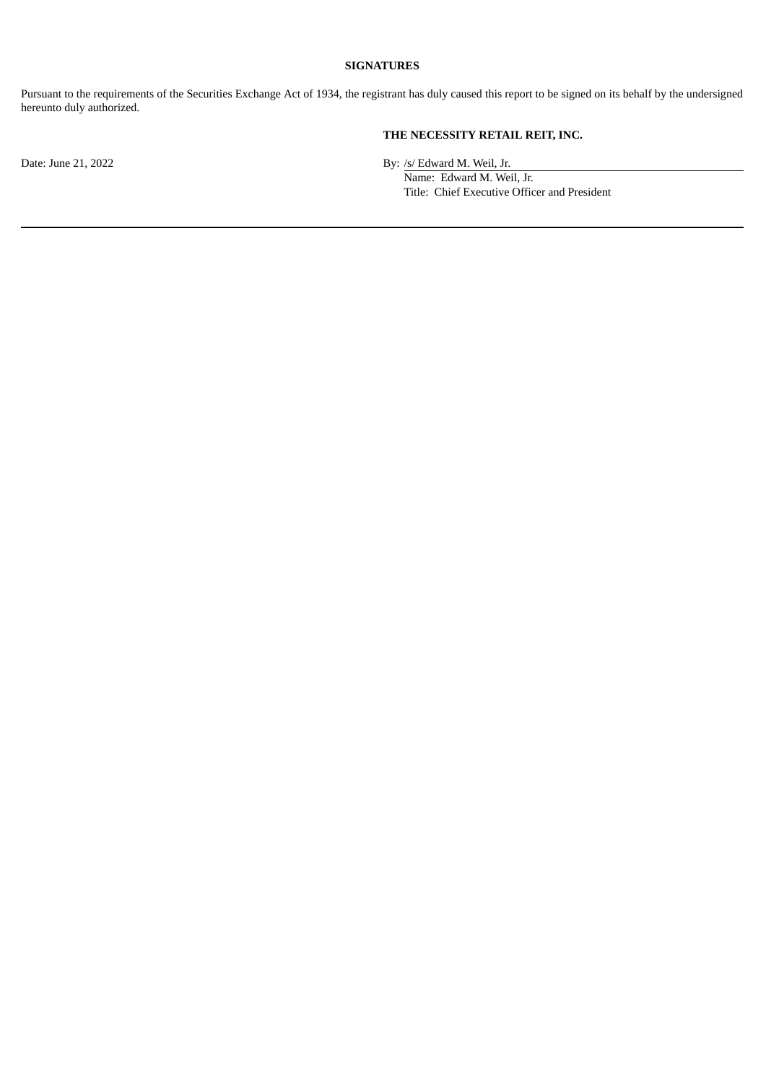# **SIGNATURES**

Pursuant to the requirements of the Securities Exchange Act of 1934, the registrant has duly caused this report to be signed on its behalf by the undersigned hereunto duly authorized.

# **THE NECESSITY RETAIL REIT, INC.**

Date: June 21, 2022 By: /s/ Edward M. Weil, Jr.

Name: Edward M. Weil, Jr. Title: Chief Executive Officer and President